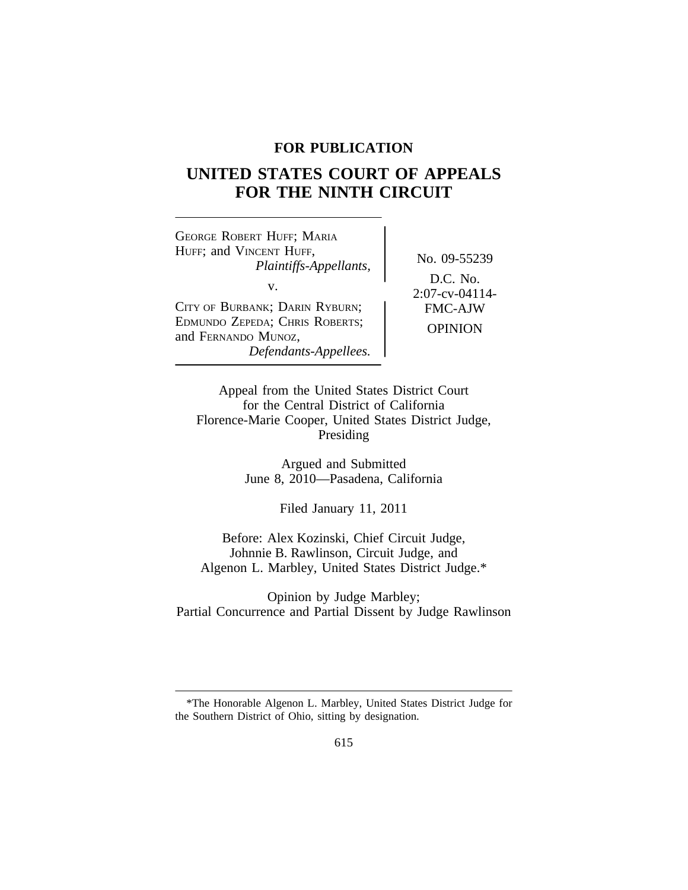# **FOR PUBLICATION**

# **UNITED STATES COURT OF APPEALS FOR THE NINTH CIRCUIT**

<sup>G</sup>EORGE ROBERT HUFF; MARIA HUFF; and VINCENT HUFF, No. 09-55239 *Plaintiffs-Appellants,* v.<br>
2:07-cv-04114-<br>
2:07-cv-04114-<br>
FMC-AJW CITY OF BURBANK; DARIN RYBURN; EDMUNDO ZEPEDA; CHRIS ROBERTS; EDMUNDO ZEPEDA, CHRIS ROBERTS,<br>and FERNANDO MUNOZ, *Defendants-Appellees.*

D.C. No.

Appeal from the United States District Court for the Central District of California Florence-Marie Cooper, United States District Judge, Presiding

> Argued and Submitted June 8, 2010—Pasadena, California

> > Filed January 11, 2011

Before: Alex Kozinski, Chief Circuit Judge, Johnnie B. Rawlinson, Circuit Judge, and Algenon L. Marbley, United States District Judge.\*

Opinion by Judge Marbley; Partial Concurrence and Partial Dissent by Judge Rawlinson

<sup>\*</sup>The Honorable Algenon L. Marbley, United States District Judge for the Southern District of Ohio, sitting by designation.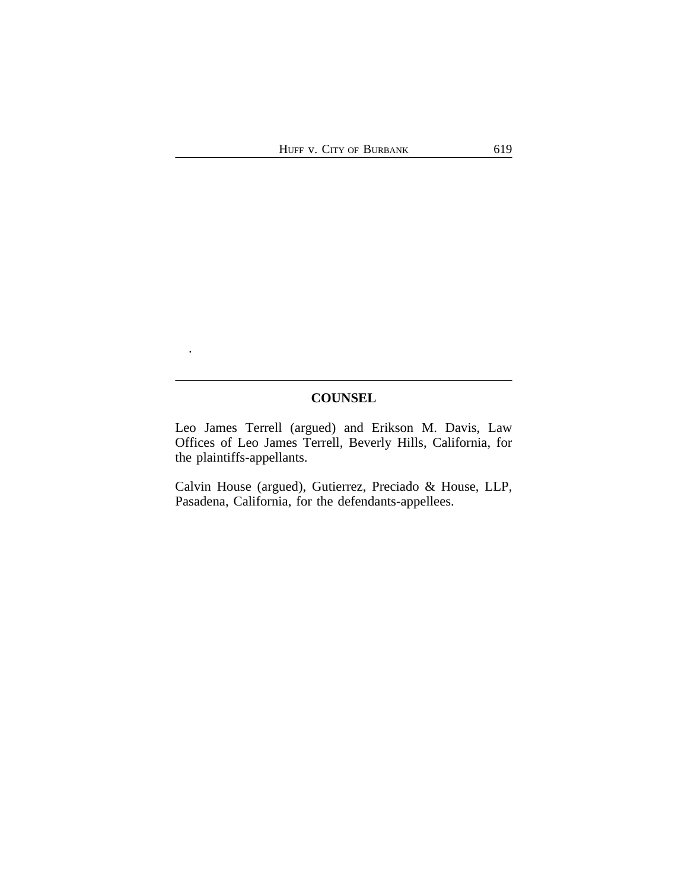# **COUNSEL**

.

Leo James Terrell (argued) and Erikson M. Davis, Law Offices of Leo James Terrell, Beverly Hills, California, for the plaintiffs-appellants.

Calvin House (argued), Gutierrez, Preciado & House, LLP, Pasadena, California, for the defendants-appellees.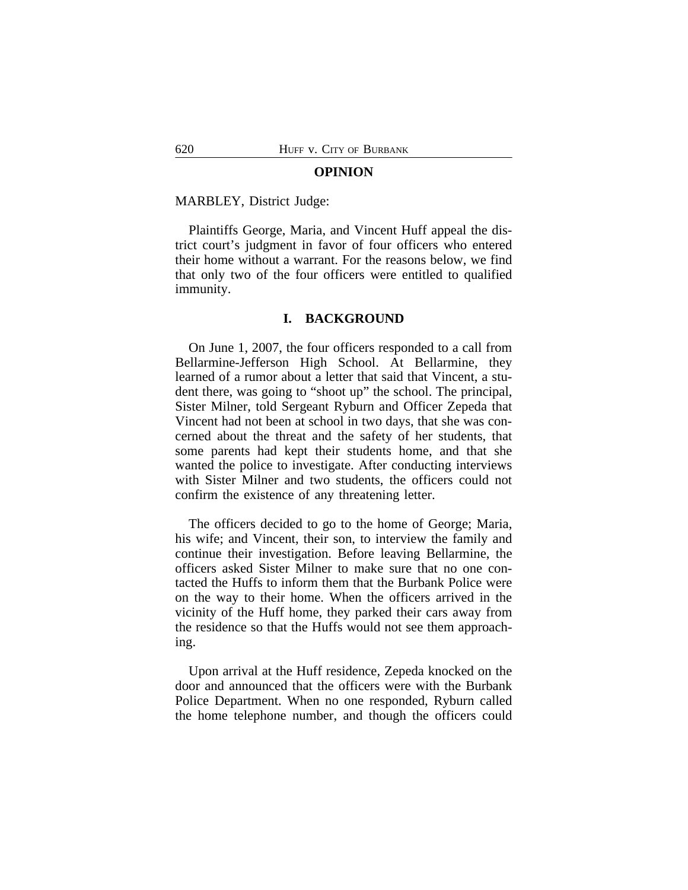#### **OPINION**

#### MARBLEY, District Judge:

Plaintiffs George, Maria, and Vincent Huff appeal the district court's judgment in favor of four officers who entered their home without a warrant. For the reasons below, we find that only two of the four officers were entitled to qualified immunity.

## **I. BACKGROUND**

On June 1, 2007, the four officers responded to a call from Bellarmine-Jefferson High School. At Bellarmine, they learned of a rumor about a letter that said that Vincent, a student there, was going to "shoot up" the school. The principal, Sister Milner, told Sergeant Ryburn and Officer Zepeda that Vincent had not been at school in two days, that she was concerned about the threat and the safety of her students, that some parents had kept their students home, and that she wanted the police to investigate. After conducting interviews with Sister Milner and two students, the officers could not confirm the existence of any threatening letter.

The officers decided to go to the home of George; Maria, his wife; and Vincent, their son, to interview the family and continue their investigation. Before leaving Bellarmine, the officers asked Sister Milner to make sure that no one contacted the Huffs to inform them that the Burbank Police were on the way to their home. When the officers arrived in the vicinity of the Huff home, they parked their cars away from the residence so that the Huffs would not see them approaching.

Upon arrival at the Huff residence, Zepeda knocked on the door and announced that the officers were with the Burbank Police Department. When no one responded, Ryburn called the home telephone number, and though the officers could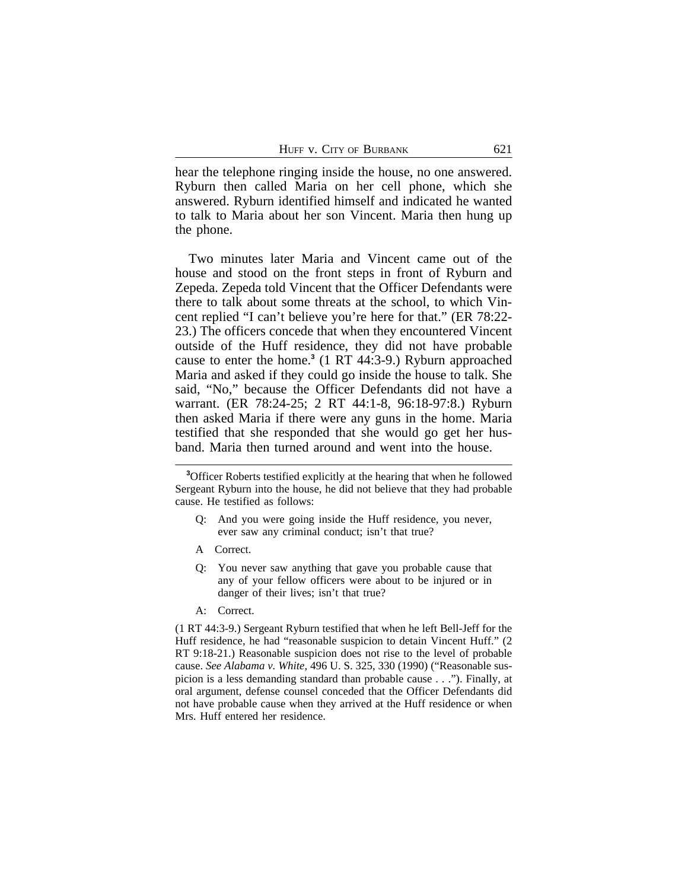hear the telephone ringing inside the house, no one answered. Ryburn then called Maria on her cell phone, which she answered. Ryburn identified himself and indicated he wanted to talk to Maria about her son Vincent. Maria then hung up the phone.

Two minutes later Maria and Vincent came out of the house and stood on the front steps in front of Ryburn and Zepeda. Zepeda told Vincent that the Officer Defendants were there to talk about some threats at the school, to which Vincent replied "I can't believe you're here for that." (ER 78:22- 23.) The officers concede that when they encountered Vincent outside of the Huff residence, they did not have probable cause to enter the home.**<sup>3</sup>** (1 RT 44:3-9.) Ryburn approached Maria and asked if they could go inside the house to talk. She said, "No," because the Officer Defendants did not have a warrant. (ER 78:24-25; 2 RT 44:1-8, 96:18-97:8.) Ryburn then asked Maria if there were any guns in the home. Maria testified that she responded that she would go get her husband. Maria then turned around and went into the house.

- Q: And you were going inside the Huff residence, you never, ever saw any criminal conduct; isn't that true?
- A Correct.
- Q: You never saw anything that gave you probable cause that any of your fellow officers were about to be injured or in danger of their lives; isn't that true?
- A: Correct.

(1 RT 44:3-9.) Sergeant Ryburn testified that when he left Bell-Jeff for the Huff residence, he had "reasonable suspicion to detain Vincent Huff." (2 RT 9:18-21.) Reasonable suspicion does not rise to the level of probable cause. *See Alabama v. White*, 496 U. S. 325, 330 (1990) ("Reasonable suspicion is a less demanding standard than probable cause . . ."). Finally, at oral argument, defense counsel conceded that the Officer Defendants did not have probable cause when they arrived at the Huff residence or when Mrs. Huff entered her residence.

**<sup>3</sup>**Officer Roberts testified explicitly at the hearing that when he followed Sergeant Ryburn into the house, he did not believe that they had probable cause. He testified as follows: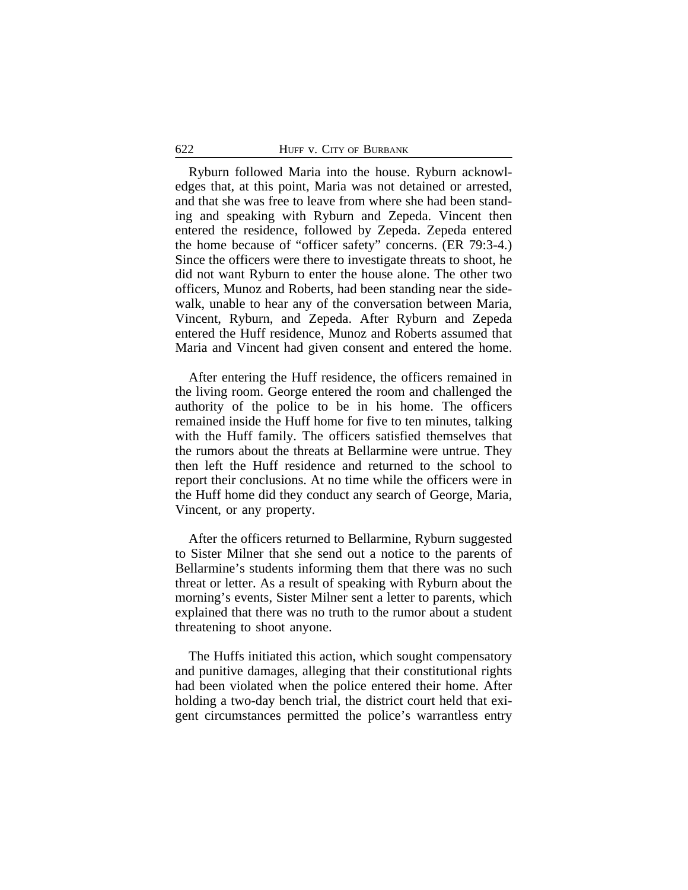Ryburn followed Maria into the house. Ryburn acknowledges that, at this point, Maria was not detained or arrested, and that she was free to leave from where she had been standing and speaking with Ryburn and Zepeda. Vincent then entered the residence, followed by Zepeda. Zepeda entered the home because of "officer safety" concerns. (ER 79:3-4.) Since the officers were there to investigate threats to shoot, he did not want Ryburn to enter the house alone. The other two officers, Munoz and Roberts, had been standing near the sidewalk, unable to hear any of the conversation between Maria, Vincent, Ryburn, and Zepeda. After Ryburn and Zepeda entered the Huff residence, Munoz and Roberts assumed that Maria and Vincent had given consent and entered the home.

After entering the Huff residence, the officers remained in the living room. George entered the room and challenged the authority of the police to be in his home. The officers remained inside the Huff home for five to ten minutes, talking with the Huff family. The officers satisfied themselves that the rumors about the threats at Bellarmine were untrue. They then left the Huff residence and returned to the school to report their conclusions. At no time while the officers were in the Huff home did they conduct any search of George, Maria, Vincent, or any property.

After the officers returned to Bellarmine, Ryburn suggested to Sister Milner that she send out a notice to the parents of Bellarmine's students informing them that there was no such threat or letter. As a result of speaking with Ryburn about the morning's events, Sister Milner sent a letter to parents, which explained that there was no truth to the rumor about a student threatening to shoot anyone.

The Huffs initiated this action, which sought compensatory and punitive damages, alleging that their constitutional rights had been violated when the police entered their home. After holding a two-day bench trial, the district court held that exigent circumstances permitted the police's warrantless entry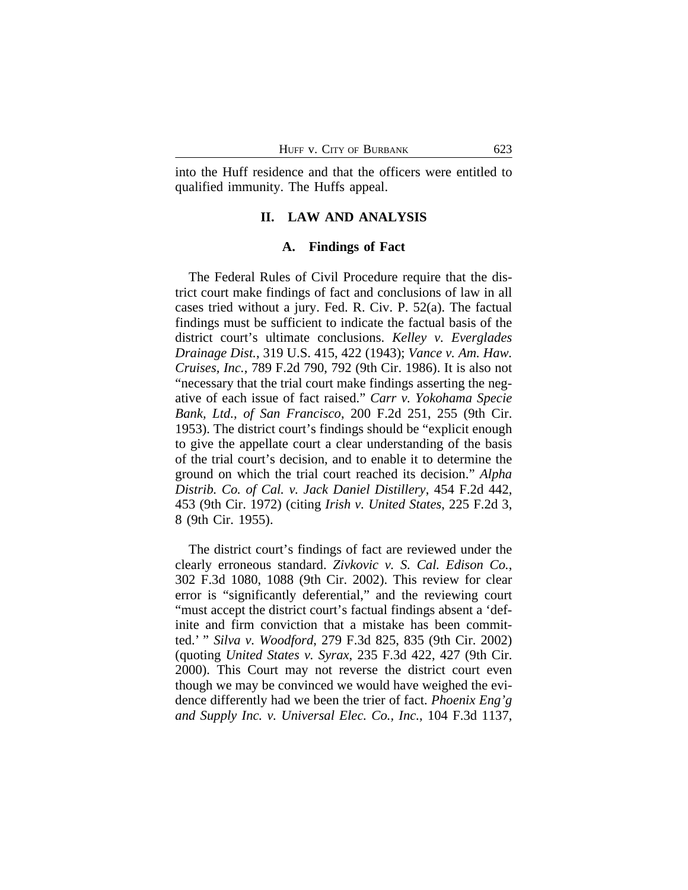into the Huff residence and that the officers were entitled to qualified immunity. The Huffs appeal.

# **II. LAW AND ANALYSIS**

# **A. Findings of Fact**

The Federal Rules of Civil Procedure require that the district court make findings of fact and conclusions of law in all cases tried without a jury. Fed. R. Civ. P. 52(a). The factual findings must be sufficient to indicate the factual basis of the district court's ultimate conclusions. *Kelley v. Everglades Drainage Dist.*, 319 U.S. 415, 422 (1943); *Vance v. Am. Haw. Cruises, Inc.*, 789 F.2d 790, 792 (9th Cir. 1986). It is also not "necessary that the trial court make findings asserting the negative of each issue of fact raised." *Carr v. Yokohama Specie Bank, Ltd., of San Francisco*, 200 F.2d 251, 255 (9th Cir. 1953). The district court's findings should be "explicit enough to give the appellate court a clear understanding of the basis of the trial court's decision, and to enable it to determine the ground on which the trial court reached its decision." *Alpha Distrib. Co. of Cal. v. Jack Daniel Distillery*, 454 F.2d 442, 453 (9th Cir. 1972) (citing *Irish v. United States*, 225 F.2d 3, 8 (9th Cir. 1955).

The district court's findings of fact are reviewed under the clearly erroneous standard. *Zivkovic v. S. Cal. Edison Co.*, 302 F.3d 1080, 1088 (9th Cir. 2002). This review for clear error is "significantly deferential," and the reviewing court "must accept the district court's factual findings absent a 'definite and firm conviction that a mistake has been committed.' " *Silva v. Woodford*, 279 F.3d 825, 835 (9th Cir. 2002) (quoting *United States v. Syrax*, 235 F.3d 422, 427 (9th Cir. 2000). This Court may not reverse the district court even though we may be convinced we would have weighed the evidence differently had we been the trier of fact. *Phoenix Eng'g and Supply Inc. v. Universal Elec. Co., Inc.*, 104 F.3d 1137,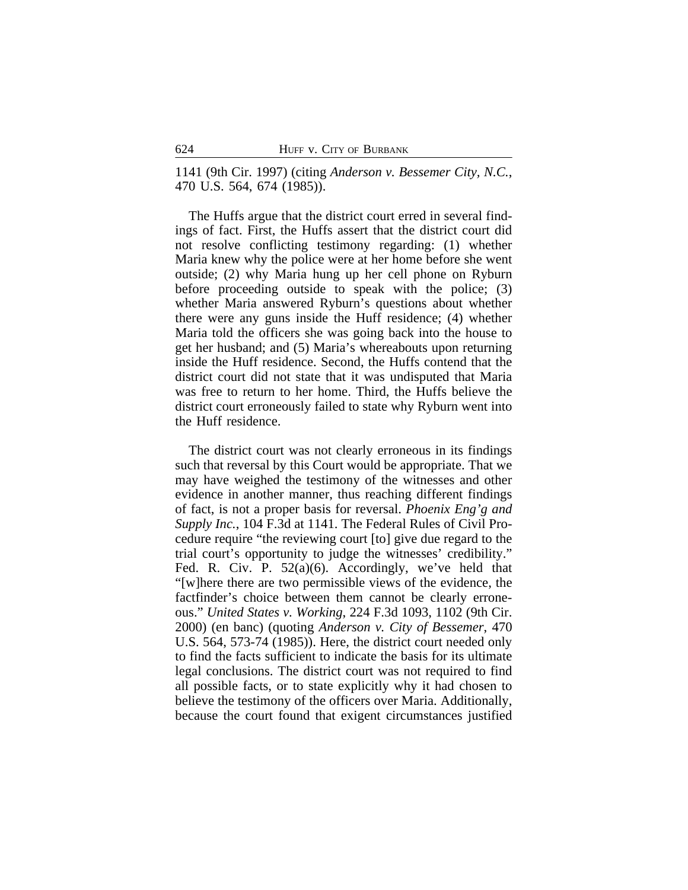1141 (9th Cir. 1997) (citing *Anderson v. Bessemer City, N.C.*, 470 U.S. 564, 674 (1985)).

The Huffs argue that the district court erred in several findings of fact. First, the Huffs assert that the district court did not resolve conflicting testimony regarding: (1) whether Maria knew why the police were at her home before she went outside; (2) why Maria hung up her cell phone on Ryburn before proceeding outside to speak with the police; (3) whether Maria answered Ryburn's questions about whether there were any guns inside the Huff residence; (4) whether Maria told the officers she was going back into the house to get her husband; and (5) Maria's whereabouts upon returning inside the Huff residence. Second, the Huffs contend that the district court did not state that it was undisputed that Maria was free to return to her home. Third, the Huffs believe the district court erroneously failed to state why Ryburn went into the Huff residence.

The district court was not clearly erroneous in its findings such that reversal by this Court would be appropriate. That we may have weighed the testimony of the witnesses and other evidence in another manner, thus reaching different findings of fact, is not a proper basis for reversal. *Phoenix Eng'g and Supply Inc.*, 104 F.3d at 1141. The Federal Rules of Civil Procedure require "the reviewing court [to] give due regard to the trial court's opportunity to judge the witnesses' credibility." Fed. R. Civ. P. 52(a)(6). Accordingly, we've held that "[w]here there are two permissible views of the evidence, the factfinder's choice between them cannot be clearly erroneous." *United States v. Working*, 224 F.3d 1093, 1102 (9th Cir. 2000) (en banc) (quoting *Anderson v. City of Bessemer*, 470 U.S. 564, 573-74 (1985)). Here, the district court needed only to find the facts sufficient to indicate the basis for its ultimate legal conclusions. The district court was not required to find all possible facts, or to state explicitly why it had chosen to believe the testimony of the officers over Maria. Additionally, because the court found that exigent circumstances justified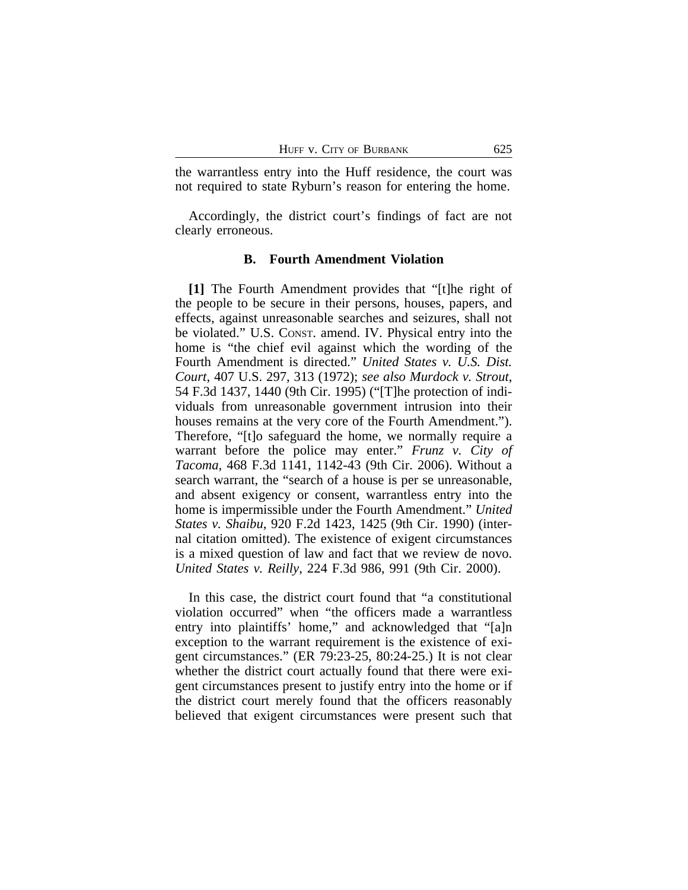the warrantless entry into the Huff residence, the court was not required to state Ryburn's reason for entering the home.

Accordingly, the district court's findings of fact are not clearly erroneous.

# **B. Fourth Amendment Violation**

**[1]** The Fourth Amendment provides that "[t]he right of the people to be secure in their persons, houses, papers, and effects, against unreasonable searches and seizures, shall not be violated." U.S. CONST. amend. IV. Physical entry into the home is "the chief evil against which the wording of the Fourth Amendment is directed." *United States v. U.S. Dist. Court*, 407 U.S. 297, 313 (1972); *see also Murdock v. Strout*, 54 F.3d 1437, 1440 (9th Cir. 1995) ("[T]he protection of individuals from unreasonable government intrusion into their houses remains at the very core of the Fourth Amendment."). Therefore, "[t]o safeguard the home, we normally require a warrant before the police may enter." *Frunz v. City of Tacoma*, 468 F.3d 1141, 1142-43 (9th Cir. 2006). Without a search warrant, the "search of a house is per se unreasonable, and absent exigency or consent, warrantless entry into the home is impermissible under the Fourth Amendment." *United States v. Shaibu*, 920 F.2d 1423, 1425 (9th Cir. 1990) (internal citation omitted). The existence of exigent circumstances is a mixed question of law and fact that we review de novo. *United States v. Reilly*, 224 F.3d 986, 991 (9th Cir. 2000).

In this case, the district court found that "a constitutional violation occurred" when "the officers made a warrantless entry into plaintiffs' home," and acknowledged that "[a]n exception to the warrant requirement is the existence of exigent circumstances." (ER 79:23-25, 80:24-25.) It is not clear whether the district court actually found that there were exigent circumstances present to justify entry into the home or if the district court merely found that the officers reasonably believed that exigent circumstances were present such that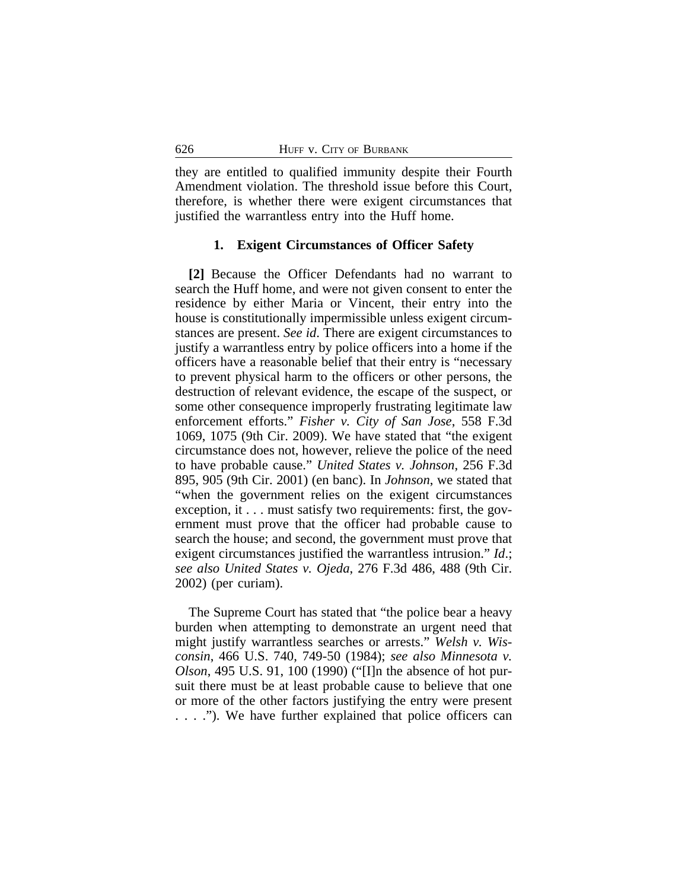they are entitled to qualified immunity despite their Fourth Amendment violation. The threshold issue before this Court, therefore, is whether there were exigent circumstances that justified the warrantless entry into the Huff home.

#### **1. Exigent Circumstances of Officer Safety**

**[2]** Because the Officer Defendants had no warrant to search the Huff home, and were not given consent to enter the residence by either Maria or Vincent, their entry into the house is constitutionally impermissible unless exigent circumstances are present. *See id*. There are exigent circumstances to justify a warrantless entry by police officers into a home if the officers have a reasonable belief that their entry is "necessary to prevent physical harm to the officers or other persons, the destruction of relevant evidence, the escape of the suspect, or some other consequence improperly frustrating legitimate law enforcement efforts." *Fisher v. City of San Jose*, 558 F.3d 1069, 1075 (9th Cir. 2009). We have stated that "the exigent circumstance does not, however, relieve the police of the need to have probable cause." *United States v. Johnson*, 256 F.3d 895, 905 (9th Cir. 2001) (en banc). In *Johnson*, we stated that "when the government relies on the exigent circumstances exception, it . . . must satisfy two requirements: first, the government must prove that the officer had probable cause to search the house; and second, the government must prove that exigent circumstances justified the warrantless intrusion." *Id*.; *see also United States v. Ojeda*, 276 F.3d 486, 488 (9th Cir. 2002) (per curiam).

The Supreme Court has stated that "the police bear a heavy burden when attempting to demonstrate an urgent need that might justify warrantless searches or arrests." *Welsh v. Wisconsin*, 466 U.S. 740, 749-50 (1984); *see also Minnesota v. Olson*, 495 U.S. 91, 100 (1990) ("[I]n the absence of hot pursuit there must be at least probable cause to believe that one or more of the other factors justifying the entry were present . . . ."). We have further explained that police officers can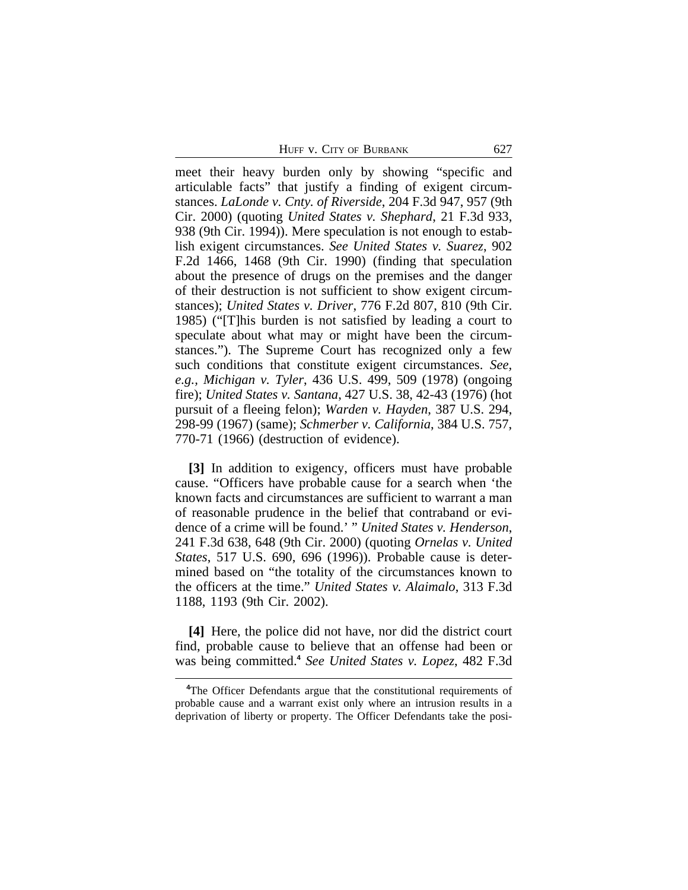HUFF V. CITY OF BURBANK 627

meet their heavy burden only by showing "specific and articulable facts" that justify a finding of exigent circumstances. *LaLonde v. Cnty. of Riverside*, 204 F.3d 947, 957 (9th Cir. 2000) (quoting *United States v. Shephard*, 21 F.3d 933, 938 (9th Cir. 1994)). Mere speculation is not enough to establish exigent circumstances. *See United States v. Suarez*, 902 F.2d 1466, 1468 (9th Cir. 1990) (finding that speculation about the presence of drugs on the premises and the danger of their destruction is not sufficient to show exigent circumstances); *United States v. Driver*, 776 F.2d 807, 810 (9th Cir. 1985) ("[T]his burden is not satisfied by leading a court to speculate about what may or might have been the circumstances."). The Supreme Court has recognized only a few such conditions that constitute exigent circumstances. *See, e.g., Michigan v. Tyler*, 436 U.S. 499, 509 (1978) (ongoing fire); *United States v. Santana*, 427 U.S. 38, 42-43 (1976) (hot pursuit of a fleeing felon); *Warden v. Hayden*, 387 U.S. 294, 298-99 (1967) (same); *Schmerber v. California*, 384 U.S. 757, 770-71 (1966) (destruction of evidence).

**[3]** In addition to exigency, officers must have probable cause. "Officers have probable cause for a search when 'the known facts and circumstances are sufficient to warrant a man of reasonable prudence in the belief that contraband or evidence of a crime will be found.' " *United States v. Henderson*, 241 F.3d 638, 648 (9th Cir. 2000) (quoting *Ornelas v. United States*, 517 U.S. 690, 696 (1996)). Probable cause is determined based on "the totality of the circumstances known to the officers at the time." *United States v. Alaimalo*, 313 F.3d 1188, 1193 (9th Cir. 2002).

**[4]** Here, the police did not have, nor did the district court find, probable cause to believe that an offense had been or was being committed.**<sup>4</sup>** *See United States v. Lopez*, 482 F.3d

**<sup>4</sup>**The Officer Defendants argue that the constitutional requirements of probable cause and a warrant exist only where an intrusion results in a deprivation of liberty or property. The Officer Defendants take the posi-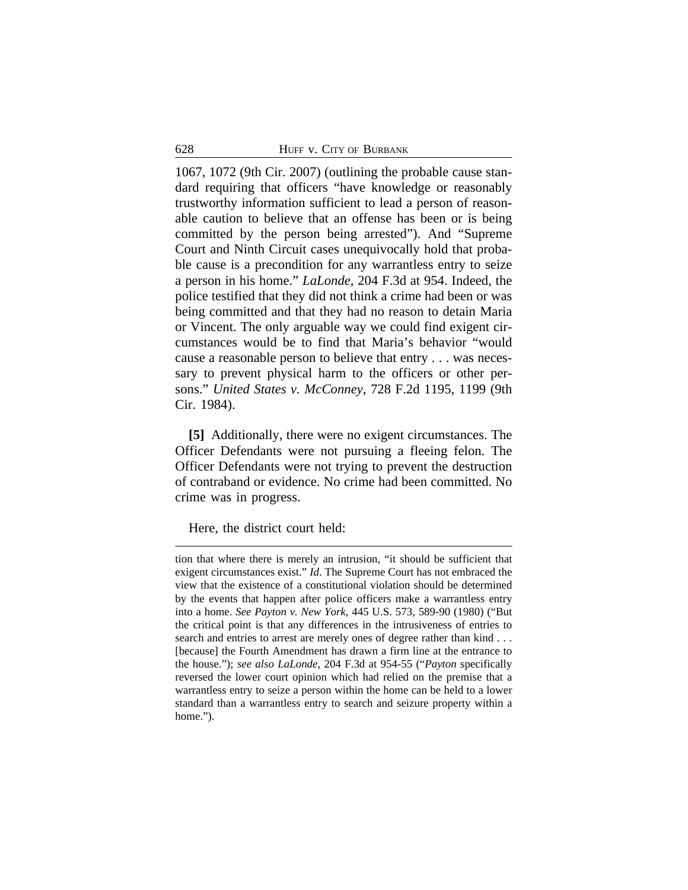1067, 1072 (9th Cir. 2007) (outlining the probable cause standard requiring that officers "have knowledge or reasonably trustworthy information sufficient to lead a person of reasonable caution to believe that an offense has been or is being committed by the person being arrested"). And "Supreme Court and Ninth Circuit cases unequivocally hold that probable cause is a precondition for any warrantless entry to seize a person in his home." *LaLonde*, 204 F.3d at 954. Indeed, the police testified that they did not think a crime had been or was being committed and that they had no reason to detain Maria or Vincent. The only arguable way we could find exigent circumstances would be to find that Maria's behavior "would cause a reasonable person to believe that entry . . . was necessary to prevent physical harm to the officers or other persons." *United States v. McConney*, 728 F.2d 1195, 1199 (9th Cir. 1984).

**[5]** Additionally, there were no exigent circumstances. The Officer Defendants were not pursuing a fleeing felon. The Officer Defendants were not trying to prevent the destruction of contraband or evidence. No crime had been committed. No crime was in progress.

Here, the district court held:

tion that where there is merely an intrusion, "it should be sufficient that exigent circumstances exist." *Id*. The Supreme Court has not embraced the view that the existence of a constitutional violation should be determined by the events that happen after police officers make a warrantless entry into a home. *See Payton v. New York*, 445 U.S. 573, 589-90 (1980) ("But the critical point is that any differences in the intrusiveness of entries to search and entries to arrest are merely ones of degree rather than kind . . . [because] the Fourth Amendment has drawn a firm line at the entrance to the house."); *see also LaLonde*, 204 F.3d at 954-55 ("*Payton* specifically reversed the lower court opinion which had relied on the premise that a warrantless entry to seize a person within the home can be held to a lower standard than a warrantless entry to search and seizure property within a home.").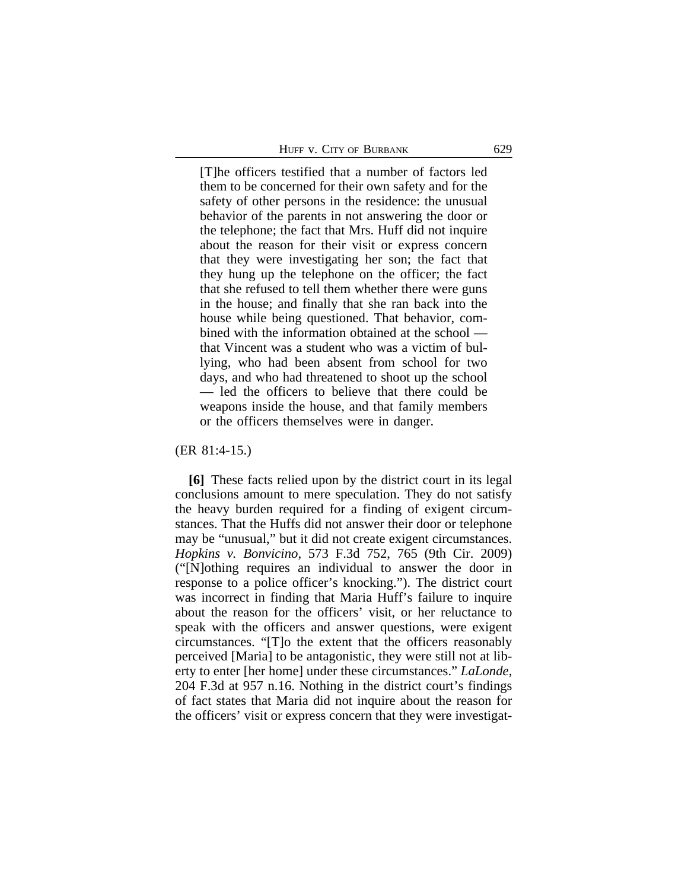[T]he officers testified that a number of factors led them to be concerned for their own safety and for the safety of other persons in the residence: the unusual behavior of the parents in not answering the door or the telephone; the fact that Mrs. Huff did not inquire about the reason for their visit or express concern that they were investigating her son; the fact that they hung up the telephone on the officer; the fact that she refused to tell them whether there were guns in the house; and finally that she ran back into the house while being questioned. That behavior, combined with the information obtained at the school that Vincent was a student who was a victim of bullying, who had been absent from school for two days, and who had threatened to shoot up the school — led the officers to believe that there could be weapons inside the house, and that family members or the officers themselves were in danger.

(ER 81:4-15.)

**[6]** These facts relied upon by the district court in its legal conclusions amount to mere speculation. They do not satisfy the heavy burden required for a finding of exigent circumstances. That the Huffs did not answer their door or telephone may be "unusual," but it did not create exigent circumstances. *Hopkins v. Bonvicino*, 573 F.3d 752, 765 (9th Cir. 2009) ("[N]othing requires an individual to answer the door in response to a police officer's knocking."). The district court was incorrect in finding that Maria Huff's failure to inquire about the reason for the officers' visit, or her reluctance to speak with the officers and answer questions, were exigent circumstances. "[T]o the extent that the officers reasonably perceived [Maria] to be antagonistic, they were still not at liberty to enter [her home] under these circumstances." *LaLonde*, 204 F.3d at 957 n.16. Nothing in the district court's findings of fact states that Maria did not inquire about the reason for the officers' visit or express concern that they were investigat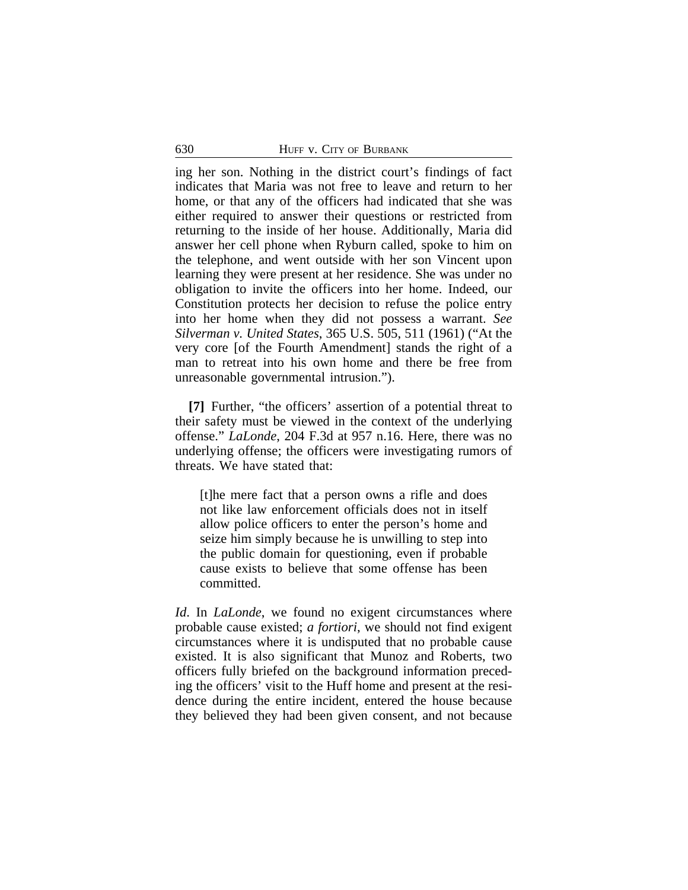ing her son. Nothing in the district court's findings of fact indicates that Maria was not free to leave and return to her home, or that any of the officers had indicated that she was either required to answer their questions or restricted from returning to the inside of her house. Additionally, Maria did answer her cell phone when Ryburn called, spoke to him on the telephone, and went outside with her son Vincent upon learning they were present at her residence. She was under no obligation to invite the officers into her home. Indeed, our Constitution protects her decision to refuse the police entry into her home when they did not possess a warrant. *See Silverman v. United States*, 365 U.S. 505, 511 (1961) ("At the very core [of the Fourth Amendment] stands the right of a man to retreat into his own home and there be free from unreasonable governmental intrusion.").

**[7]** Further, "the officers' assertion of a potential threat to their safety must be viewed in the context of the underlying offense." *LaLonde*, 204 F.3d at 957 n.16. Here, there was no underlying offense; the officers were investigating rumors of threats. We have stated that:

[t]he mere fact that a person owns a rifle and does not like law enforcement officials does not in itself allow police officers to enter the person's home and seize him simply because he is unwilling to step into the public domain for questioning, even if probable cause exists to believe that some offense has been committed.

*Id*. In *LaLonde*, we found no exigent circumstances where probable cause existed; *a fortiori*, we should not find exigent circumstances where it is undisputed that no probable cause existed. It is also significant that Munoz and Roberts, two officers fully briefed on the background information preceding the officers' visit to the Huff home and present at the residence during the entire incident, entered the house because they believed they had been given consent, and not because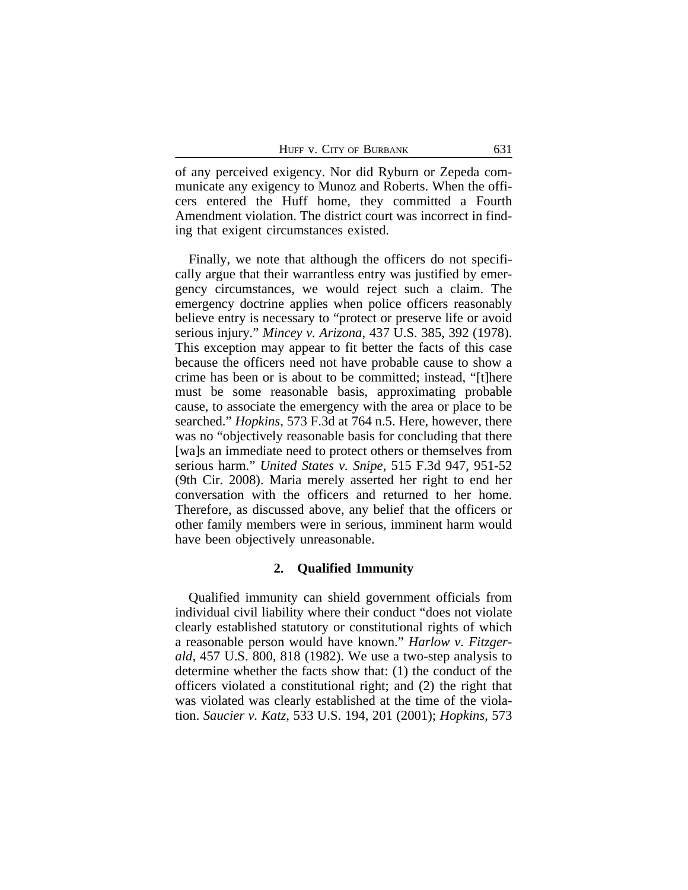of any perceived exigency. Nor did Ryburn or Zepeda communicate any exigency to Munoz and Roberts. When the officers entered the Huff home, they committed a Fourth Amendment violation. The district court was incorrect in finding that exigent circumstances existed.

Finally, we note that although the officers do not specifically argue that their warrantless entry was justified by emergency circumstances, we would reject such a claim. The emergency doctrine applies when police officers reasonably believe entry is necessary to "protect or preserve life or avoid serious injury." *Mincey v. Arizona*, 437 U.S. 385, 392 (1978). This exception may appear to fit better the facts of this case because the officers need not have probable cause to show a crime has been or is about to be committed; instead, "[t]here must be some reasonable basis, approximating probable cause, to associate the emergency with the area or place to be searched." *Hopkins*, 573 F.3d at 764 n.5. Here, however, there was no "objectively reasonable basis for concluding that there [wa]s an immediate need to protect others or themselves from serious harm." *United States v. Snipe*, 515 F.3d 947, 951-52 (9th Cir. 2008). Maria merely asserted her right to end her conversation with the officers and returned to her home. Therefore, as discussed above, any belief that the officers or other family members were in serious, imminent harm would have been objectively unreasonable.

# **2. Qualified Immunity**

Qualified immunity can shield government officials from individual civil liability where their conduct "does not violate clearly established statutory or constitutional rights of which a reasonable person would have known." *Harlow v. Fitzgerald*, 457 U.S. 800, 818 (1982). We use a two-step analysis to determine whether the facts show that: (1) the conduct of the officers violated a constitutional right; and (2) the right that was violated was clearly established at the time of the violation. *Saucier v. Katz*, 533 U.S. 194, 201 (2001); *Hopkins*, 573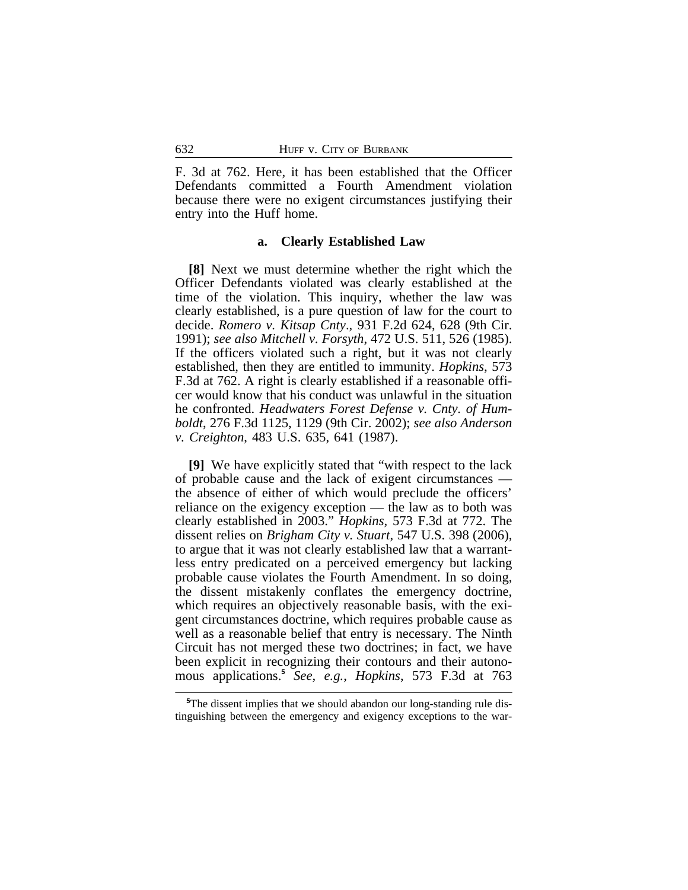F. 3d at 762. Here, it has been established that the Officer Defendants committed a Fourth Amendment violation because there were no exigent circumstances justifying their entry into the Huff home.

#### **a. Clearly Established Law**

**[8]** Next we must determine whether the right which the Officer Defendants violated was clearly established at the time of the violation. This inquiry, whether the law was clearly established, is a pure question of law for the court to decide. *Romero v. Kitsap Cnty*., 931 F.2d 624, 628 (9th Cir. 1991); *see also Mitchell v. Forsyth*, 472 U.S. 511, 526 (1985). If the officers violated such a right, but it was not clearly established, then they are entitled to immunity. *Hopkins*, 573 F.3d at 762. A right is clearly established if a reasonable officer would know that his conduct was unlawful in the situation he confronted. *Headwaters Forest Defense v. Cnty. of Humboldt*, 276 F.3d 1125, 1129 (9th Cir. 2002); *see also Anderson v. Creighton*, 483 U.S. 635, 641 (1987).

**[9]** We have explicitly stated that "with respect to the lack of probable cause and the lack of exigent circumstances the absence of either of which would preclude the officers' reliance on the exigency exception — the law as to both was clearly established in 2003." *Hopkins*, 573 F.3d at 772. The dissent relies on *Brigham City v. Stuart*, 547 U.S. 398 (2006), to argue that it was not clearly established law that a warrantless entry predicated on a perceived emergency but lacking probable cause violates the Fourth Amendment. In so doing, the dissent mistakenly conflates the emergency doctrine, which requires an objectively reasonable basis, with the exigent circumstances doctrine, which requires probable cause as well as a reasonable belief that entry is necessary. The Ninth Circuit has not merged these two doctrines; in fact, we have been explicit in recognizing their contours and their autonomous applications.**<sup>5</sup>** *See, e.g.*, *Hopkins*, 573 F.3d at 763

**<sup>5</sup>**The dissent implies that we should abandon our long-standing rule distinguishing between the emergency and exigency exceptions to the war-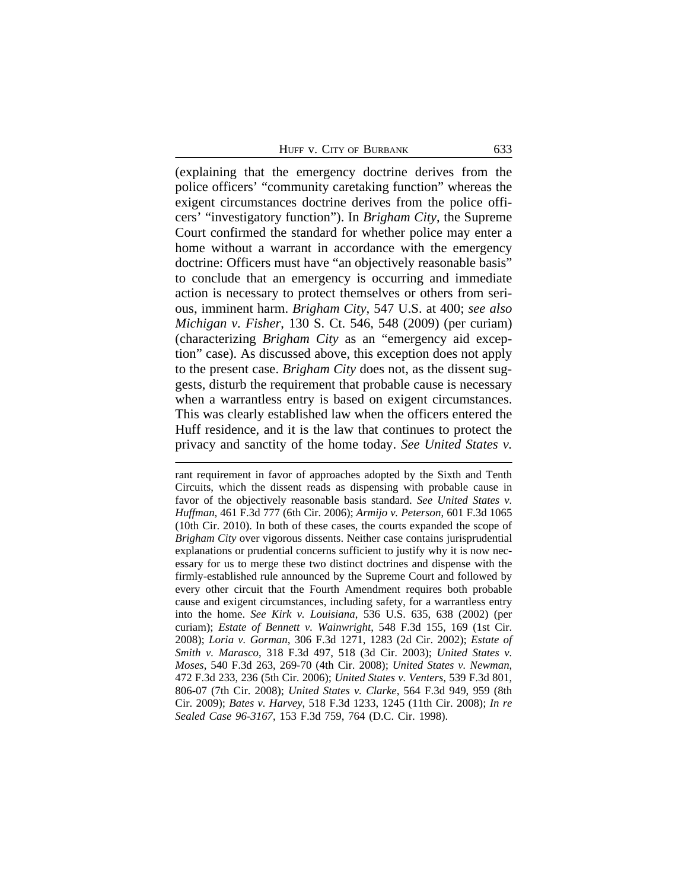HUFF V. CITY OF BURBANK 633

(explaining that the emergency doctrine derives from the police officers' "community caretaking function" whereas the exigent circumstances doctrine derives from the police officers' "investigatory function"). In *Brigham City*, the Supreme Court confirmed the standard for whether police may enter a home without a warrant in accordance with the emergency doctrine: Officers must have "an objectively reasonable basis" to conclude that an emergency is occurring and immediate action is necessary to protect themselves or others from serious, imminent harm. *Brigham City*, 547 U.S. at 400; *see also Michigan v. Fisher*, 130 S. Ct. 546, 548 (2009) (per curiam) (characterizing *Brigham City* as an "emergency aid exception" case). As discussed above, this exception does not apply to the present case. *Brigham City* does not, as the dissent suggests, disturb the requirement that probable cause is necessary when a warrantless entry is based on exigent circumstances. This was clearly established law when the officers entered the Huff residence, and it is the law that continues to protect the privacy and sanctity of the home today. *See United States v.*

rant requirement in favor of approaches adopted by the Sixth and Tenth Circuits, which the dissent reads as dispensing with probable cause in favor of the objectively reasonable basis standard. *See United States v. Huffman*, 461 F.3d 777 (6th Cir. 2006); *Armijo v. Peterson*, 601 F.3d 1065 (10th Cir. 2010). In both of these cases, the courts expanded the scope of *Brigham City* over vigorous dissents. Neither case contains jurisprudential explanations or prudential concerns sufficient to justify why it is now necessary for us to merge these two distinct doctrines and dispense with the firmly-established rule announced by the Supreme Court and followed by every other circuit that the Fourth Amendment requires both probable cause and exigent circumstances, including safety, for a warrantless entry into the home. *See Kirk v. Louisiana*, 536 U.S. 635, 638 (2002) (per curiam); *Estate of Bennett v. Wainwright*, 548 F.3d 155, 169 (1st Cir. 2008); *Loria v. Gorman*, 306 F.3d 1271, 1283 (2d Cir. 2002); *Estate of Smith v. Marasco*, 318 F.3d 497, 518 (3d Cir. 2003); *United States v. Moses*, 540 F.3d 263, 269-70 (4th Cir. 2008); *United States v. Newman*, 472 F.3d 233, 236 (5th Cir. 2006); *United States v. Venters*, 539 F.3d 801, 806-07 (7th Cir. 2008); *United States v. Clarke*, 564 F.3d 949, 959 (8th Cir. 2009); *Bates v. Harvey*, 518 F.3d 1233, 1245 (11th Cir. 2008); *In re Sealed Case 96-3167*, 153 F.3d 759, 764 (D.C. Cir. 1998).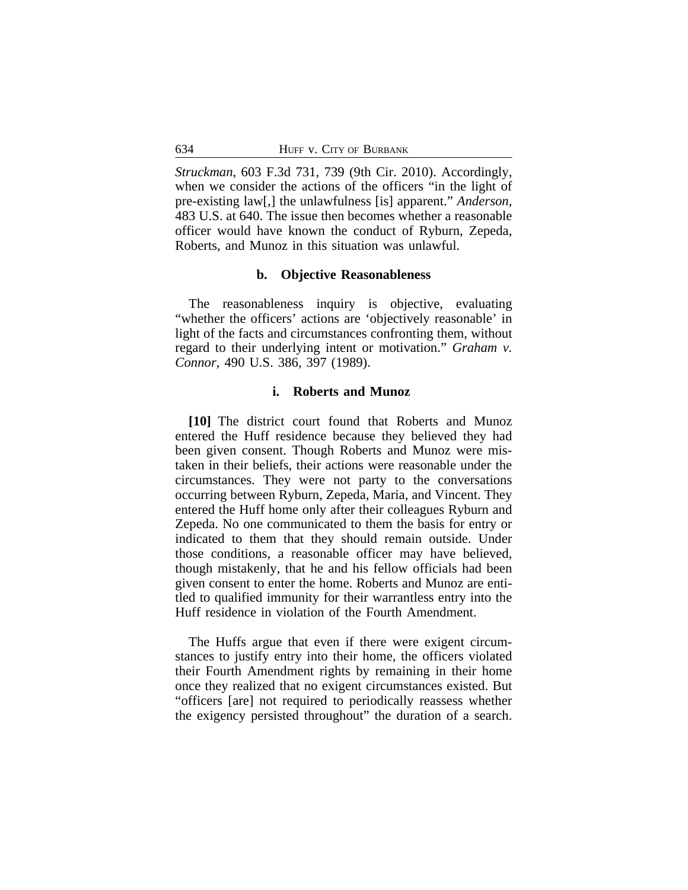*Struckman*, 603 F.3d 731, 739 (9th Cir. 2010). Accordingly, when we consider the actions of the officers "in the light of pre-existing law[,] the unlawfulness [is] apparent." *Anderson*, 483 U.S. at 640. The issue then becomes whether a reasonable officer would have known the conduct of Ryburn, Zepeda, Roberts, and Munoz in this situation was unlawful.

## **b. Objective Reasonableness**

The reasonableness inquiry is objective, evaluating "whether the officers' actions are 'objectively reasonable' in light of the facts and circumstances confronting them, without regard to their underlying intent or motivation." *Graham v. Connor*, 490 U.S. 386, 397 (1989).

# **i. Roberts and Munoz**

**[10]** The district court found that Roberts and Munoz entered the Huff residence because they believed they had been given consent. Though Roberts and Munoz were mistaken in their beliefs, their actions were reasonable under the circumstances. They were not party to the conversations occurring between Ryburn, Zepeda, Maria, and Vincent. They entered the Huff home only after their colleagues Ryburn and Zepeda. No one communicated to them the basis for entry or indicated to them that they should remain outside. Under those conditions, a reasonable officer may have believed, though mistakenly, that he and his fellow officials had been given consent to enter the home. Roberts and Munoz are entitled to qualified immunity for their warrantless entry into the Huff residence in violation of the Fourth Amendment.

The Huffs argue that even if there were exigent circumstances to justify entry into their home, the officers violated their Fourth Amendment rights by remaining in their home once they realized that no exigent circumstances existed. But "officers [are] not required to periodically reassess whether the exigency persisted throughout" the duration of a search.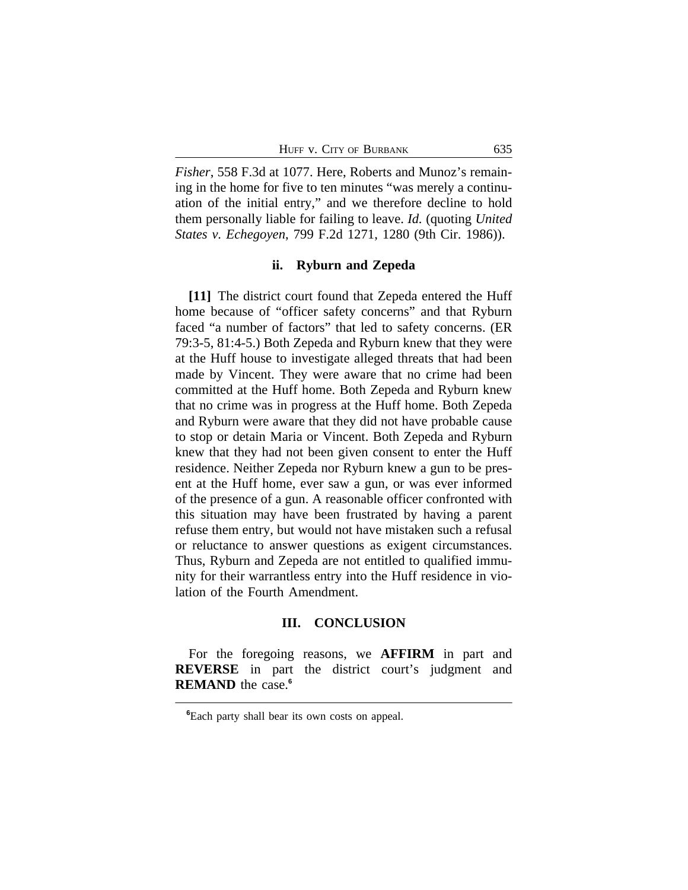*Fisher*, 558 F.3d at 1077. Here, Roberts and Munoz's remaining in the home for five to ten minutes "was merely a continuation of the initial entry," and we therefore decline to hold them personally liable for failing to leave. *Id.* (quoting *United States v. Echegoyen*, 799 F.2d 1271, 1280 (9th Cir. 1986)).

## **ii. Ryburn and Zepeda**

**[11]** The district court found that Zepeda entered the Huff home because of "officer safety concerns" and that Ryburn faced "a number of factors" that led to safety concerns. (ER 79:3-5, 81:4-5.) Both Zepeda and Ryburn knew that they were at the Huff house to investigate alleged threats that had been made by Vincent. They were aware that no crime had been committed at the Huff home. Both Zepeda and Ryburn knew that no crime was in progress at the Huff home. Both Zepeda and Ryburn were aware that they did not have probable cause to stop or detain Maria or Vincent. Both Zepeda and Ryburn knew that they had not been given consent to enter the Huff residence. Neither Zepeda nor Ryburn knew a gun to be present at the Huff home, ever saw a gun, or was ever informed of the presence of a gun. A reasonable officer confronted with this situation may have been frustrated by having a parent refuse them entry, but would not have mistaken such a refusal or reluctance to answer questions as exigent circumstances. Thus, Ryburn and Zepeda are not entitled to qualified immunity for their warrantless entry into the Huff residence in violation of the Fourth Amendment.

#### **III. CONCLUSION**

For the foregoing reasons, we **AFFIRM** in part and **REVERSE** in part the district court's judgment and **REMAND** the case.**<sup>6</sup>**

**<sup>6</sup>**Each party shall bear its own costs on appeal.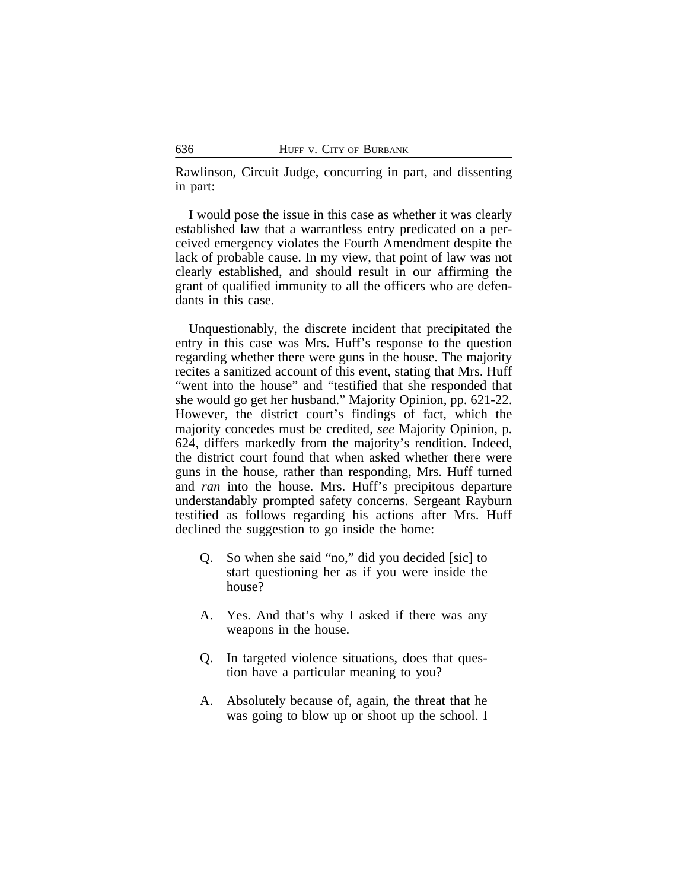Rawlinson, Circuit Judge, concurring in part, and dissenting in part:

I would pose the issue in this case as whether it was clearly established law that a warrantless entry predicated on a perceived emergency violates the Fourth Amendment despite the lack of probable cause. In my view, that point of law was not clearly established, and should result in our affirming the grant of qualified immunity to all the officers who are defendants in this case.

Unquestionably, the discrete incident that precipitated the entry in this case was Mrs. Huff's response to the question regarding whether there were guns in the house. The majority recites a sanitized account of this event, stating that Mrs. Huff "went into the house" and "testified that she responded that she would go get her husband." Majority Opinion, pp. 621-22. However, the district court's findings of fact, which the majority concedes must be credited, *see* Majority Opinion, p. 624, differs markedly from the majority's rendition. Indeed, the district court found that when asked whether there were guns in the house, rather than responding, Mrs. Huff turned and *ran* into the house. Mrs. Huff's precipitous departure understandably prompted safety concerns. Sergeant Rayburn testified as follows regarding his actions after Mrs. Huff declined the suggestion to go inside the home:

- Q. So when she said "no," did you decided [sic] to start questioning her as if you were inside the house?
- A. Yes. And that's why I asked if there was any weapons in the house.
- Q. In targeted violence situations, does that question have a particular meaning to you?
- A. Absolutely because of, again, the threat that he was going to blow up or shoot up the school. I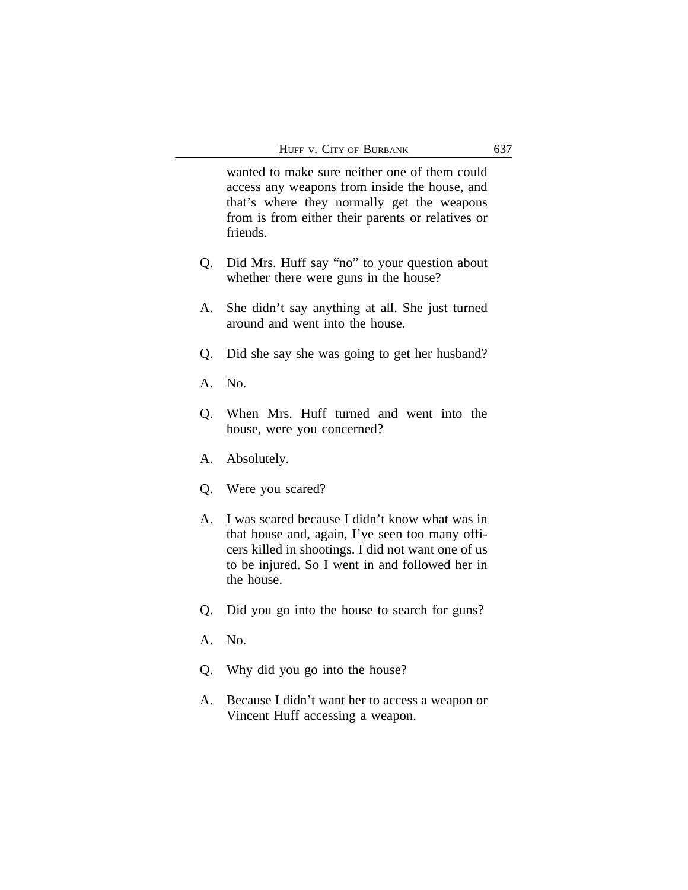wanted to make sure neither one of them could access any weapons from inside the house, and that's where they normally get the weapons from is from either their parents or relatives or friends.

- Q. Did Mrs. Huff say "no" to your question about whether there were guns in the house?
- A. She didn't say anything at all. She just turned around and went into the house.
- Q. Did she say she was going to get her husband?
- A. No.
- Q. When Mrs. Huff turned and went into the house, were you concerned?
- A. Absolutely.
- Q. Were you scared?
- A. I was scared because I didn't know what was in that house and, again, I've seen too many officers killed in shootings. I did not want one of us to be injured. So I went in and followed her in the house.
- Q. Did you go into the house to search for guns?
- A. No.
- Q. Why did you go into the house?
- A. Because I didn't want her to access a weapon or Vincent Huff accessing a weapon.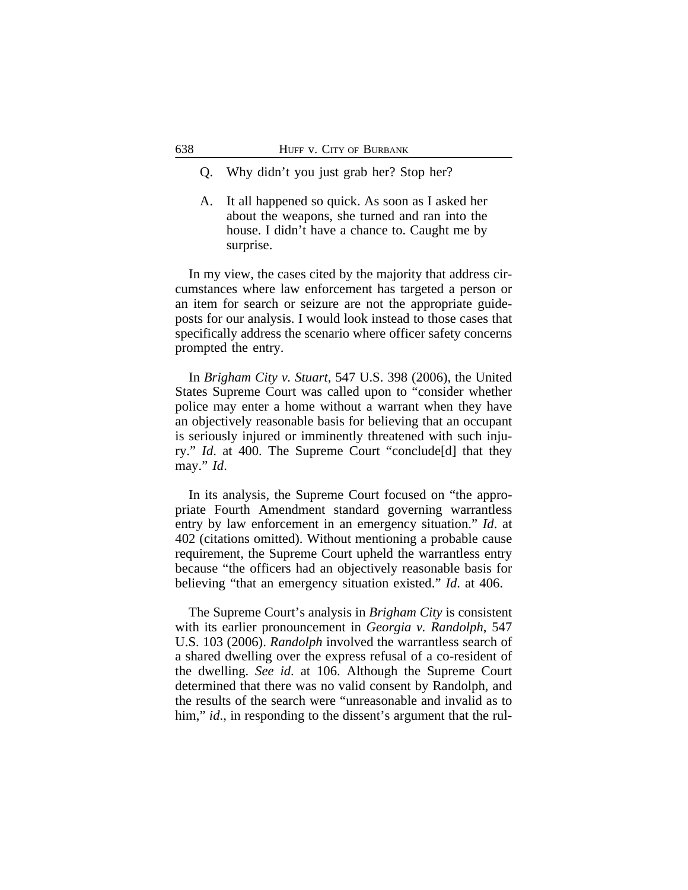- Q. Why didn't you just grab her? Stop her?
- A. It all happened so quick. As soon as I asked her about the weapons, she turned and ran into the house. I didn't have a chance to. Caught me by surprise.

In my view, the cases cited by the majority that address circumstances where law enforcement has targeted a person or an item for search or seizure are not the appropriate guideposts for our analysis. I would look instead to those cases that specifically address the scenario where officer safety concerns prompted the entry.

In *Brigham City v. Stuart*, 547 U.S. 398 (2006), the United States Supreme Court was called upon to "consider whether police may enter a home without a warrant when they have an objectively reasonable basis for believing that an occupant is seriously injured or imminently threatened with such injury." *Id*. at 400. The Supreme Court "conclude[d] that they may." *Id*.

In its analysis, the Supreme Court focused on "the appropriate Fourth Amendment standard governing warrantless entry by law enforcement in an emergency situation." *Id*. at 402 (citations omitted). Without mentioning a probable cause requirement, the Supreme Court upheld the warrantless entry because "the officers had an objectively reasonable basis for believing "that an emergency situation existed." *Id*. at 406.

The Supreme Court's analysis in *Brigham City* is consistent with its earlier pronouncement in *Georgia v. Randolph*, 547 U.S. 103 (2006). *Randolph* involved the warrantless search of a shared dwelling over the express refusal of a co-resident of the dwelling. *See id*. at 106. Although the Supreme Court determined that there was no valid consent by Randolph, and the results of the search were "unreasonable and invalid as to him," *id.*, in responding to the dissent's argument that the rul-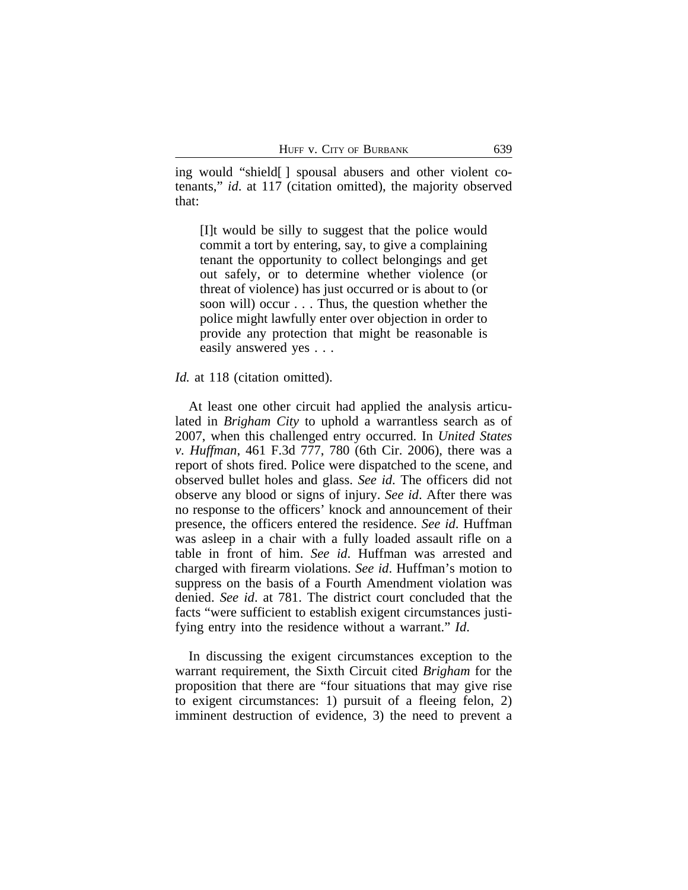ing would "shield[ ] spousal abusers and other violent cotenants," *id*. at 117 (citation omitted), the majority observed that:

[I]t would be silly to suggest that the police would commit a tort by entering, say, to give a complaining tenant the opportunity to collect belongings and get out safely, or to determine whether violence (or threat of violence) has just occurred or is about to (or soon will) occur . . . Thus, the question whether the police might lawfully enter over objection in order to provide any protection that might be reasonable is easily answered yes . . .

*Id.* at 118 (citation omitted).

At least one other circuit had applied the analysis articulated in *Brigham City* to uphold a warrantless search as of 2007, when this challenged entry occurred. In *United States v. Huffman*, 461 F.3d 777, 780 (6th Cir. 2006), there was a report of shots fired. Police were dispatched to the scene, and observed bullet holes and glass. *See id*. The officers did not observe any blood or signs of injury. *See id*. After there was no response to the officers' knock and announcement of their presence, the officers entered the residence. *See id*. Huffman was asleep in a chair with a fully loaded assault rifle on a table in front of him. *See id*. Huffman was arrested and charged with firearm violations. *See id*. Huffman's motion to suppress on the basis of a Fourth Amendment violation was denied. *See id*. at 781. The district court concluded that the facts "were sufficient to establish exigent circumstances justifying entry into the residence without a warrant." *Id*.

In discussing the exigent circumstances exception to the warrant requirement, the Sixth Circuit cited *Brigham* for the proposition that there are "four situations that may give rise to exigent circumstances: 1) pursuit of a fleeing felon, 2) imminent destruction of evidence, 3) the need to prevent a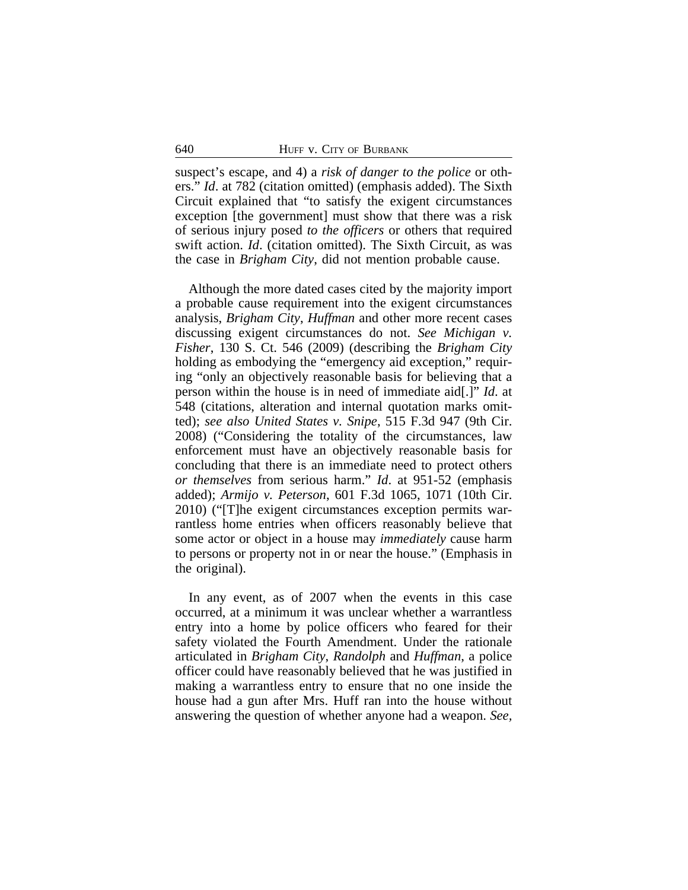suspect's escape, and 4) a *risk of danger to the police* or others." *Id*. at 782 (citation omitted) (emphasis added). The Sixth Circuit explained that "to satisfy the exigent circumstances exception [the government] must show that there was a risk of serious injury posed *to the officers* or others that required swift action. *Id*. (citation omitted). The Sixth Circuit, as was the case in *Brigham City*, did not mention probable cause.

Although the more dated cases cited by the majority import a probable cause requirement into the exigent circumstances analysis, *Brigham City*, *Huffman* and other more recent cases discussing exigent circumstances do not. *See Michigan v. Fisher*, 130 S. Ct. 546 (2009) (describing the *Brigham City* holding as embodying the "emergency aid exception," requiring "only an objectively reasonable basis for believing that a person within the house is in need of immediate aid[.]" *Id*. at 548 (citations, alteration and internal quotation marks omitted); *see also United States v. Snipe*, 515 F.3d 947 (9th Cir. 2008) ("Considering the totality of the circumstances, law enforcement must have an objectively reasonable basis for concluding that there is an immediate need to protect others *or themselves* from serious harm." *Id*. at 951-52 (emphasis added); *Armijo v. Peterson*, 601 F.3d 1065, 1071 (10th Cir. 2010) ("[T]he exigent circumstances exception permits warrantless home entries when officers reasonably believe that some actor or object in a house may *immediately* cause harm to persons or property not in or near the house." (Emphasis in the original).

In any event, as of 2007 when the events in this case occurred, at a minimum it was unclear whether a warrantless entry into a home by police officers who feared for their safety violated the Fourth Amendment. Under the rationale articulated in *Brigham City*, *Randolph* and *Huffman*, a police officer could have reasonably believed that he was justified in making a warrantless entry to ensure that no one inside the house had a gun after Mrs. Huff ran into the house without answering the question of whether anyone had a weapon. *See,*